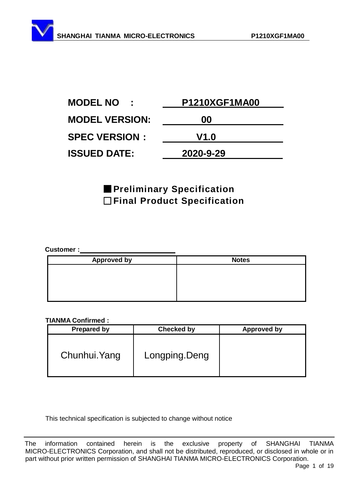| <b>MODEL NO</b>       | <b>P1210XGF1MA00</b> |
|-----------------------|----------------------|
| <b>MODEL VERSION:</b> | 00                   |
| <b>SPEC VERSION :</b> | V1.0                 |
| <b>ISSUED DATE:</b>   | 2020-9-29            |

# ■**Preliminary Specification** □**Final Product Specification**

#### **Customer :**

| <b>Approved by</b> | <b>Notes</b> |
|--------------------|--------------|
|                    |              |
|                    |              |
|                    |              |
|                    |              |

#### **TIANMA Confirmed :**

| <b>Prepared by</b> | <b>Checked by</b> | <b>Approved by</b> |
|--------------------|-------------------|--------------------|
| Chunhui. Yang      | Longping.Deng     |                    |

This technical specification is subjected to change without notice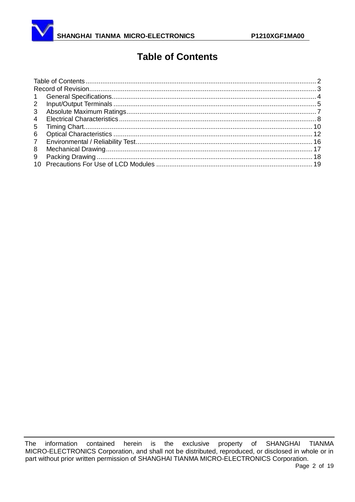<span id="page-1-0"></span>

# **Table of Contents**

| $\mathbf{1}$ |  |
|--------------|--|
| $2^{\circ}$  |  |
| 3            |  |
| 4            |  |
| 5            |  |
| 6            |  |
| $7^{\circ}$  |  |
| 8            |  |
| 9            |  |
|              |  |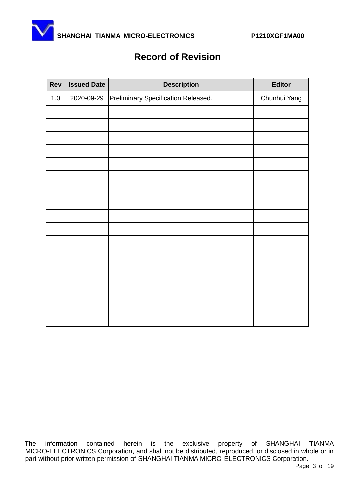<span id="page-2-0"></span>

# **Record of Revision**

| Rev   | <b>Issued Date</b> | <b>Description</b>                  | Editor        |
|-------|--------------------|-------------------------------------|---------------|
| $1.0$ | 2020-09-29         | Preliminary Specification Released. | Chunhui. Yang |
|       |                    |                                     |               |
|       |                    |                                     |               |
|       |                    |                                     |               |
|       |                    |                                     |               |
|       |                    |                                     |               |
|       |                    |                                     |               |
|       |                    |                                     |               |
|       |                    |                                     |               |
|       |                    |                                     |               |
|       |                    |                                     |               |
|       |                    |                                     |               |
|       |                    |                                     |               |
|       |                    |                                     |               |
|       |                    |                                     |               |
|       |                    |                                     |               |
|       |                    |                                     |               |
|       |                    |                                     |               |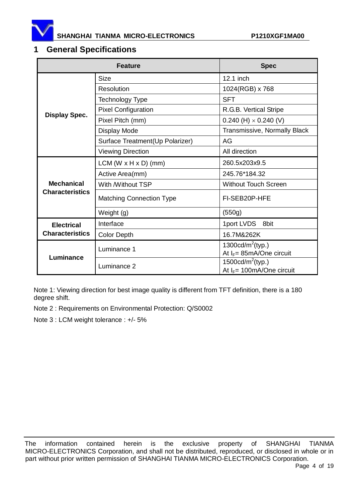

#### <span id="page-3-0"></span>**1 General Specifications**

|                        | <b>Feature</b>                   | <b>Spec</b>                                          |  |  |
|------------------------|----------------------------------|------------------------------------------------------|--|--|
|                        | <b>Size</b>                      | 12.1 inch                                            |  |  |
|                        | Resolution                       | 1024(RGB) x 768                                      |  |  |
| <b>Display Spec.</b>   | Technology Type                  | <b>SFT</b>                                           |  |  |
|                        | <b>Pixel Configuration</b>       | R.G.B. Vertical Stripe                               |  |  |
|                        | Pixel Pitch (mm)                 | 0.240 (H) $\times$ 0.240 (V)                         |  |  |
|                        | Display Mode                     | Transmissive, Normally Black                         |  |  |
|                        | Surface Treatment(Up Polarizer)  | AG                                                   |  |  |
|                        | <b>Viewing Direction</b>         | All direction                                        |  |  |
|                        | $LCM (W \times H \times D)$ (mm) | 260.5x203x9.5                                        |  |  |
|                        | Active Area(mm)                  | 245.76*184.32                                        |  |  |
| <b>Mechanical</b>      | With /Without TSP                | <b>Without Touch Screen</b>                          |  |  |
| <b>Characteristics</b> | <b>Matching Connection Type</b>  | FI-SEB20P-HFE                                        |  |  |
|                        | Weight (g)                       | (550g)                                               |  |  |
| <b>Electrical</b>      | Interface                        | 1port LVDS 8bit                                      |  |  |
| <b>Characteristics</b> | <b>Color Depth</b>               | 16.7M&262K                                           |  |  |
| Luminance              | Luminance 1                      | 1300cd/ $m^2$ (typ.)<br>At $I_F$ = 85mA/One circuit  |  |  |
|                        | Luminance 2                      | 1500cd/ $m^2$ (typ.)<br>At $I_F$ = 100mA/One circuit |  |  |

Note 1: Viewing direction for best image quality is different from TFT definition, there is a 180 degree shift.

Note 2 : Requirements on Environmental Protection: Q/S0002

Note 3 : LCM weight tolerance : +/- 5%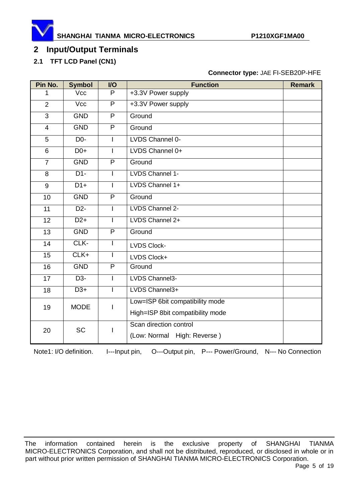

# <span id="page-4-0"></span>**Input/Output Terminals**

### **2.1 TFT LCD Panel (CN1)**

#### **Connector type:** JAE FI-SEB20P-HFE

| Pin No.        | <b>Symbol</b>     | <b>I/O</b>     | <b>Function</b>                  | <b>Remark</b> |
|----------------|-------------------|----------------|----------------------------------|---------------|
| 1              | Vcc               | P              | +3.3V Power supply               |               |
| $\overline{2}$ | Vcc               | $\overline{P}$ | +3.3V Power supply               |               |
| 3              | <b>GND</b>        | P              | Ground                           |               |
| $\overline{4}$ | <b>GND</b>        | P              | Ground                           |               |
| 5              | D <sub>0</sub> -  | T              | LVDS Channel 0-                  |               |
| 6              | $D0+$             | I              | LVDS Channel 0+                  |               |
| $\overline{7}$ | <b>GND</b>        | $\overline{P}$ | Ground                           |               |
| 8              | $D1 -$            |                | LVDS Channel 1-                  |               |
| 9              | $D1+$             | I              | LVDS Channel 1+                  |               |
| 10             | <b>GND</b>        | $\overline{P}$ | Ground                           |               |
| 11             | $D2-$             | L              | LVDS Channel 2-                  |               |
| 12             | $D2+$             |                | LVDS Channel 2+                  |               |
| 13             | <b>GND</b>        | $\overline{P}$ | Ground                           |               |
| 14             | CLK-              | L              | <b>LVDS Clock-</b>               |               |
| 15             | $CLK+$            |                | LVDS Clock+                      |               |
| 16             | <b>GND</b>        | $\overline{P}$ | Ground                           |               |
| 17             | $\overline{D3}$ - |                | LVDS Channel3-                   |               |
| 18             | $\overline{D3+}$  | I              | LVDS Channel3+                   |               |
| 19             | <b>MODE</b>       |                | Low=ISP 6bit compatibility mode  |               |
|                |                   |                | High=ISP 8bit compatibility mode |               |
| 20             | <b>SC</b>         |                | Scan direction control           |               |
|                |                   |                | (Low: Normal High: Reverse)      |               |

Note1: I/O definition. I---Input pin, O---Output pin, P--- Power/Ground, N--- No Connection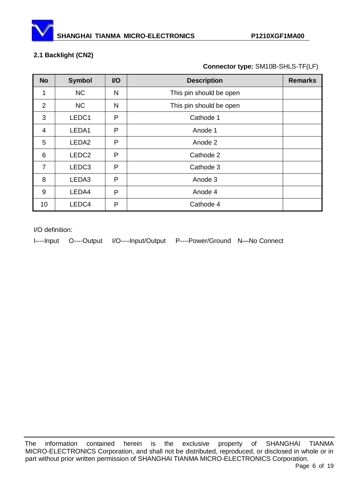

#### **2.1 Backlight (CN2)**

**Connector type:** SM10B-SHLS-TF(LF)

| <b>No</b>      | <b>Symbol</b>     | <b>VO</b> | <b>Description</b>      | <b>Remarks</b> |
|----------------|-------------------|-----------|-------------------------|----------------|
| 1              | <b>NC</b>         | N         | This pin should be open |                |
| 2              | <b>NC</b>         | N         | This pin should be open |                |
| 3              | LEDC1             | P         | Cathode 1               |                |
| $\overline{4}$ | LEDA1             | P         | Anode 1                 |                |
| 5              | LEDA <sub>2</sub> | P         | Anode 2                 |                |
| 6              | LEDC <sub>2</sub> | P         | Cathode 2               |                |
| $\overline{7}$ | LEDC <sub>3</sub> | P         | Cathode 3               |                |
| 8              | LEDA3             | P         | Anode 3                 |                |
| 9              | LEDA4             | P         | Anode 4                 |                |
| 10             | LEDC4             | P         | Cathode 4               |                |

I/O definition:

I----Input O----Output I/O----Input/Output P----Power/Ground N—No Connect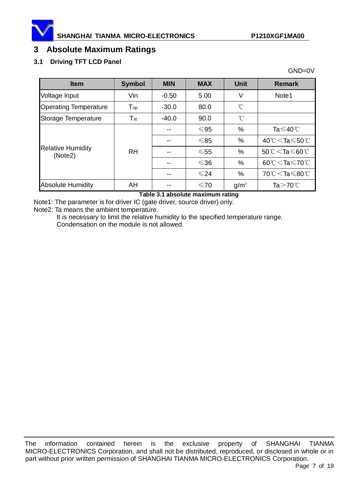

GND=0V

### <span id="page-6-0"></span>**3 Absolute Maximum Ratings**

#### **3.1 Driving TFT LCD Panel**

| <b>Item</b>                         | <b>Symbol</b>              | <b>MIN</b> | <b>MAX</b> | <b>Unit</b>      | <b>Remark</b>                                      |
|-------------------------------------|----------------------------|------------|------------|------------------|----------------------------------------------------|
| Voltage Input                       | Vin                        | $-0.50$    | 5.00       | V                | Note1                                              |
| <b>Operating Temperature</b>        | $\mathsf{T}_{\mathsf{op}}$ | $-30.0$    | 80.0       | $^{\circ}$ C     |                                                    |
| Storage Temperature                 | $\mathsf{T}_{\mathsf{st}}$ | $-40.0$    | 90.0       | $^{\circ}$ C     |                                                    |
|                                     | <b>RH</b>                  | --         | $≤95$      | %                | Ta $\leqslant$ 40°C                                |
|                                     |                            |            | $≤85$      | %                | 40 $\degree$ C $\lt$ Ta $\leqslant$ 50 $\degree$ C |
| <b>Relative Humidity</b><br>(Note2) |                            |            | $≤55$      | %                | $50^{\circ}$ C $\leq$ Ta $\leq$ 60 $^{\circ}$ C    |
|                                     |                            |            | $≤36$      | %                | 60°C $<$ Ta $\leq$ 70°C                            |
|                                     |                            | --         | $\leq 24$  | %                | 70 ℃ $\mathsf{\leq80 ℃$                            |
| <b>Absolute Humidity</b>            | AH                         |            | ≤70        | g/m <sup>3</sup> | Ta $>70^{\circ}$ C                                 |

#### **Table 3.1 absolute maximum rating**

Note1: The parameter is for driver IC (gate driver, source driver) only.

Note2: Ta means the ambient temperature.

It is necessary to limit the relative humidity to the specified temperature range. Condensation on the module is not allowed.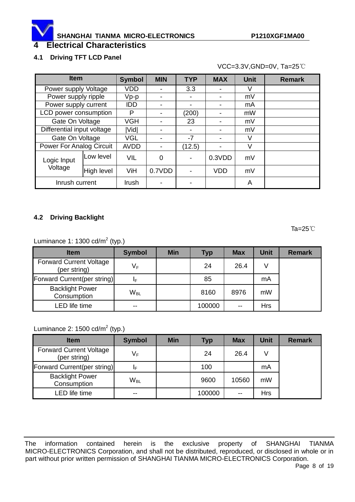# <span id="page-7-0"></span>**4 Electrical Characteristics**

#### **4.1 Driving TFT LCD Panel**

VCC=3.3V,GND=0V, Ta=25℃

| <b>Item</b>                     |            | <b>Symbol</b> | <b>MIN</b> | <b>TYP</b> | <b>MAX</b> | <b>Unit</b> | <b>Remark</b> |
|---------------------------------|------------|---------------|------------|------------|------------|-------------|---------------|
| Power supply Voltage            |            | <b>VDD</b>    |            | 3.3        |            | V           |               |
| Power supply ripple             |            | $Vp-p$        |            |            | ۰          | mV          |               |
| Power supply current            |            | <b>IDD</b>    |            |            | ۰          | mA          |               |
| LCD power consumption           |            | P             |            | (200)      |            | mW          |               |
| Gate On Voltage                 |            | <b>VGH</b>    |            | 23         | ۰          | mV          |               |
| Differential input voltage      |            | Vid           |            |            | ۰          | mV          |               |
| Gate On Voltage                 |            | <b>VGL</b>    |            | $-7$       |            | V           |               |
| <b>Power For Analog Circuit</b> |            | <b>AVDD</b>   |            | (12.5)     |            | V           |               |
| Logic Input                     | Low level  | <b>VIL</b>    | 0          |            | 0.3VDD     | mV          |               |
| Voltage                         | High level | ViH           | 0.7VDD     |            | VDD        | mV          |               |
| Inrush current                  |            | Irush         |            |            |            | A           |               |

#### **4.2 Driving Backlight**

Ta=25℃

Luminance 1: 1300 cd/ $m^2$  (typ.)

| <b>Item</b>                                    | <b>Symbol</b>            | <b>Min</b> | <b>Typ</b> | <b>Max</b> | <b>Unit</b> | <b>Remark</b> |
|------------------------------------------------|--------------------------|------------|------------|------------|-------------|---------------|
| <b>Forward Current Voltage</b><br>(per string) | $V_F$                    |            | 24         | 26.4       |             |               |
| Forward Current(per string)                    | ΙF                       |            | 85         |            | mA          |               |
| <b>Backlight Power</b><br>Consumption          | $W_{BL}$                 |            | 8160       | 8976       | mW          |               |
| <b>LED</b> life time                           | $\overline{\phantom{m}}$ |            | 100000     | $- -$      | <b>Hrs</b>  |               |

#### Luminance 2:  $1500$  cd/m<sup>2</sup> (typ.)

| <b>Item</b>                                    | <b>Symbol</b> | <b>Min</b> | <b>Typ</b> | <b>Max</b> | <b>Unit</b> | <b>Remark</b> |
|------------------------------------------------|---------------|------------|------------|------------|-------------|---------------|
| <b>Forward Current Voltage</b><br>(per string) | $V_F$         |            | 24         | 26.4       | V           |               |
| Forward Current(per string)                    | ΙF            |            | 100        |            | mA          |               |
| <b>Backlight Power</b><br>Consumption          | $W_{BL}$      |            | 9600       | 10560      | mW          |               |
| <b>LED</b> life time                           | $- -$         |            | 100000     | --         | <b>Hrs</b>  |               |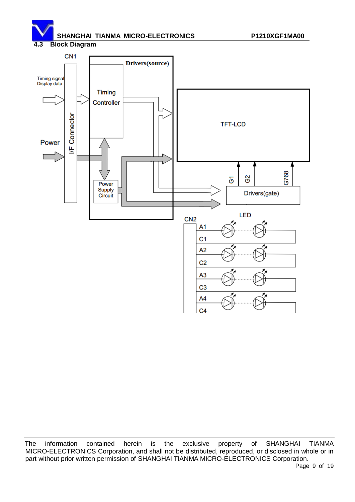**4.3 Block Diagram**

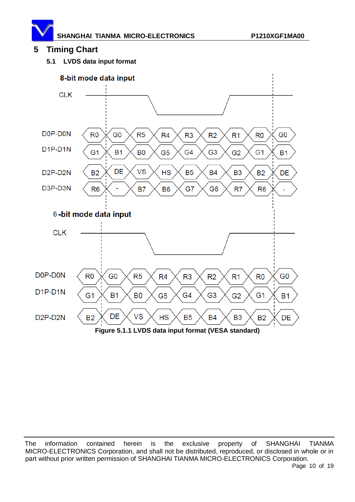

# <span id="page-9-0"></span>**5 Timing Chart**

**5.1 LVDS data input format**



The information contained herein is the exclusive property of SHANGHAI TIANMA MICRO-ELECTRONICS Corporation, and shall not be distributed, reproduced, or disclosed in whole or in part without prior written permission of SHANGHAI TIANMA MICRO-ELECTRONICS Corporation.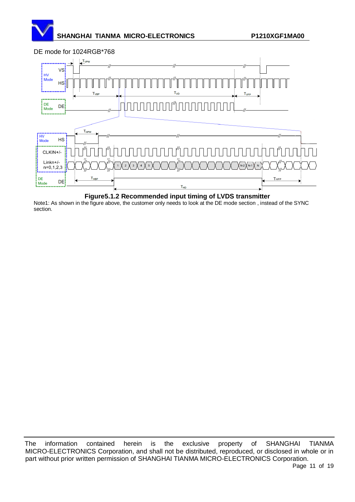

DE mode for 1024RGB\*768

**Figure5.1.2 Recommended input timing of LVDS transmitter**

Note1: As shown in the figure above, the customer only needs to look at the DE mode section , instead of the SYNC section.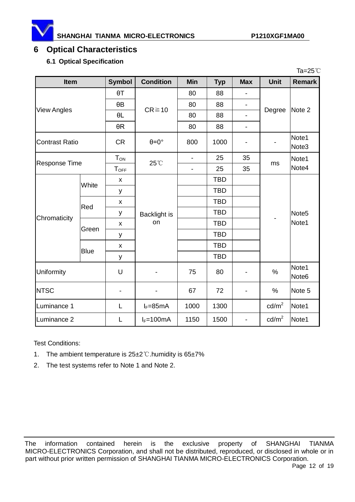# <span id="page-11-0"></span>**6 Optical Characteristics**

#### **6.1 Optical Specification**

|                       |             |                    |                      |                |            |                          |                   | Ta=25 $°C$                 |
|-----------------------|-------------|--------------------|----------------------|----------------|------------|--------------------------|-------------------|----------------------------|
| Item                  |             | <b>Symbol</b>      | <b>Condition</b>     | <b>Min</b>     | <b>Typ</b> | <b>Max</b>               | <b>Unit</b>       | Remark                     |
| <b>View Angles</b>    |             | $\theta$ T         | $CR \ge 10$          | 80             | 88         |                          | Degree            | Note 2                     |
|                       |             | $\theta$ B         |                      | 80             | 88         | $\overline{\phantom{0}}$ |                   |                            |
|                       |             | $\theta L$         |                      | 80             | 88         | $\overline{\phantom{0}}$ |                   |                            |
|                       |             | $\theta R$         |                      | 80             | 88         | $\overline{\phantom{0}}$ |                   |                            |
| <b>Contrast Ratio</b> |             | <b>CR</b>          | $\theta = 0^{\circ}$ | 800            | 1000       |                          |                   | Note1<br>Note <sub>3</sub> |
| <b>Response Time</b>  |             | $T_{ON}$           | 25°C                 |                | 25         | 35                       | ms                | Note1                      |
|                       |             | $T_{\text{OFF}}$   |                      | $\blacksquare$ | 25         | 35                       |                   | Note4                      |
| Chromaticity          | White       | X                  | Backlight is<br>on   |                | <b>TBD</b> |                          |                   | Note <sub>5</sub><br>Note1 |
|                       |             | у                  |                      |                | <b>TBD</b> |                          |                   |                            |
|                       | Red         | X                  |                      |                | <b>TBD</b> |                          |                   |                            |
|                       |             | у                  |                      |                | <b>TBD</b> |                          |                   |                            |
|                       | Green       | X                  |                      |                | <b>TBD</b> |                          |                   |                            |
|                       |             | у                  |                      |                | <b>TBD</b> |                          |                   |                            |
|                       | <b>Blue</b> | $\pmb{\mathsf{X}}$ |                      |                | <b>TBD</b> |                          |                   |                            |
|                       |             | у                  |                      |                | <b>TBD</b> |                          |                   |                            |
| Uniformity            |             | U                  |                      | 75             | 80         | -                        | $\%$              | Note1<br>Note <sub>6</sub> |
| <b>NTSC</b>           |             |                    |                      | 67             | 72         |                          | $\%$              | Note 5                     |
| Luminance 1           |             | L                  | $I_F = 85mA$         | 1000           | 1300       |                          | $\text{cd/m}^2$   | Note1                      |
| Luminance 2           |             | L                  | $I_F = 100mA$        | 1150           | 1500       | $\overline{\phantom{0}}$ | cd/m <sup>2</sup> | Note1                      |

Test Conditions:

- 1. The ambient temperature is 25±2℃.humidity is 65±7%
- 2. The test systems refer to Note 1 and Note 2.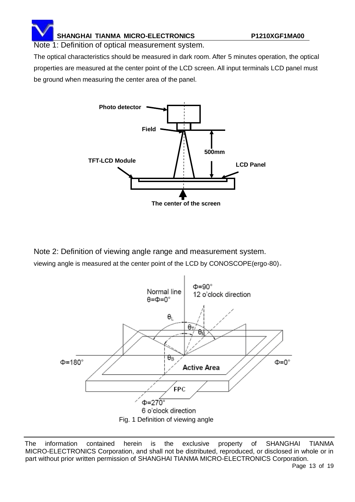Note 1: Definition of optical measurement system.

The optical characteristics should be measured in dark room. After 5 minutes operation, the optical properties are measured at the center point of the LCD screen. All input terminals LCD panel must be ground when measuring the center area of the panel.



Note 2: Definition of viewing angle range and measurement system. viewing angle is measured at the center point of the LCD by CONOSCOPE(ergo-80)。

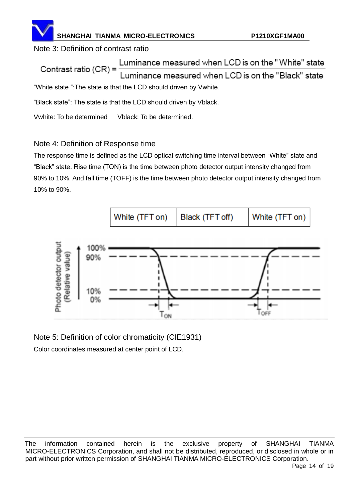Note 3: Definition of contrast ratio

Luminance measured when LCD is on the "White" state Contrast ratio  $(CR)$  = Luminance measured when LCD is on the "Black" state "White state ":The state is that the LCD should driven by Vwhite.

"Black state": The state is that the LCD should driven by Vblack.

Vwhite: To be determined Vblack: To be determined.

# Note 4: Definition of Response time

The response time is defined as the LCD optical switching time interval between "White" state and "Black" state. Rise time (TON) is the time between photo detector output intensity changed from 90% to 10%. And fall time (TOFF) is the time between photo detector output intensity changed from 10% to 90%.



Note 5: Definition of color chromaticity (CIE1931) Color coordinates measured at center point of LCD.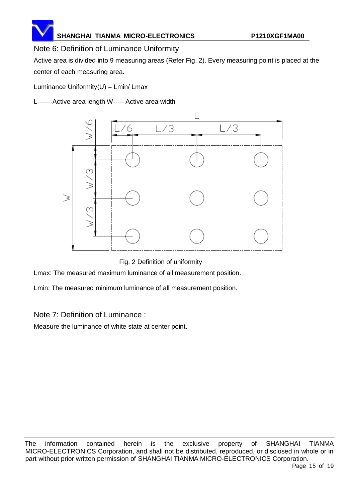# Note 6: Definition of Luminance Uniformity

Active area is divided into 9 measuring areas (Refer Fig. 2). Every measuring point is placed at the center of each measuring area.

Luminance Uniformity $(U) = Lmin/Lmax$ 

L-------Active area length W----- Active area width



Fig. 2 Definition of uniformity

Lmax: The measured maximum luminance of all measurement position.

Lmin: The measured minimum luminance of all measurement position.

Note 7: Definition of Luminance :

Measure the luminance of white state at center point.

The information contained herein is the exclusive property of SHANGHAI TIANMA MICRO-ELECTRONICS Corporation, and shall not be distributed, reproduced, or disclosed in whole or in part without prior written permission of SHANGHAI TIANMA MICRO-ELECTRONICS Corporation.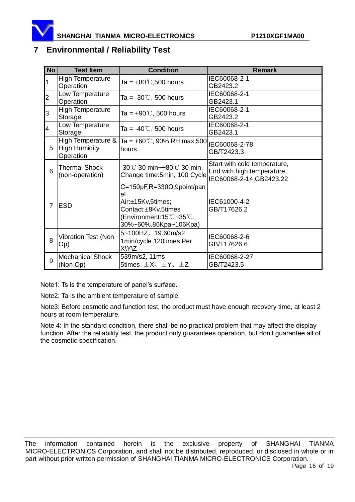

### <span id="page-15-0"></span>**7 Environmental / Reliability Test**

| <b>No</b> | <b>Test Item</b>                                 | <b>Condition</b>                                                                                                                                              | <b>Remark</b>                                                                          |
|-----------|--------------------------------------------------|---------------------------------------------------------------------------------------------------------------------------------------------------------------|----------------------------------------------------------------------------------------|
|           | <b>High Temperature</b><br>Operation             | Ta = +80 $\degree$ ,500 hours                                                                                                                                 | IEC60068-2-1<br>GB2423.2                                                               |
| 2         | Low Temperature<br>Operation                     | Ta = -30 $\degree$ C, 500 hours                                                                                                                               | IEC60068-2-1<br>GB2423.1                                                               |
| 3         | <b>High Temperature</b><br>Storage               | Ta = $+90^{\circ}$ C, 500 hours                                                                                                                               | IEC60068-2-1<br>GB2423.2                                                               |
| 4         | Low Temperature<br>Storage                       | Ta = $-40^{\circ}$ C, 500 hours                                                                                                                               | IEC60068-2-1<br>GB2423.1                                                               |
| 5         | High Temperature &<br>High Humidity<br>Operation | Ta = $+60^{\circ}$ C, 90% RH max,500<br>hours                                                                                                                 | IEC60068-2-78<br>GB/T2423.3                                                            |
| 6         | <b>Thermal Shock</b><br>(non-operation)          | $-30^{\circ}$ C 30 min~ $+80^{\circ}$ C 30 min,<br>Change time:5min, 100 Cycle                                                                                | Start with cold temperature,<br>End with high temperature,<br>IEC60068-2-14, GB2423.22 |
| 7         | <b>IESD</b>                                      | $C=150pF, R=330\Omega, 9point/pan$<br>el<br>Air:±15Kv,5times;<br>Contact:±8Kv,5times<br>(Environment:15 $\degree$ C ~35 $\degree$ C,<br>30%~60%.86Kpa~106Kpa) | IEC61000-4-2<br>GB/T17626.2                                                            |
| 8         | Vibration Test (Non<br>Op)                       | 5~100HZ, 19.60m/s2<br>1min/cycle 120times Per<br>X\Y\Z                                                                                                        | IEC60068-2-6<br>GB/T17626.6                                                            |
| 9         | Mechanical Shock<br>(Non Op)                     | 539m/s2, 11ms<br>5times $\pm X$ , $\pm Y$ , $\pm Z$                                                                                                           | IEC60068-2-27<br>GB/T2423.5                                                            |

Note1: Ts is the temperature of panel's surface.

Note2: Ta is the ambient temperature of sample.

 Note3: Before cosmetic and function test, the product must have enough recovery time, at least 2 hours at room temperature.

 Note 4: In the standard condition, there shall be no practical problem that may affect the display function. After the reliability test, the product only guarantees operation, but don't guarantee all of the cosmetic specification.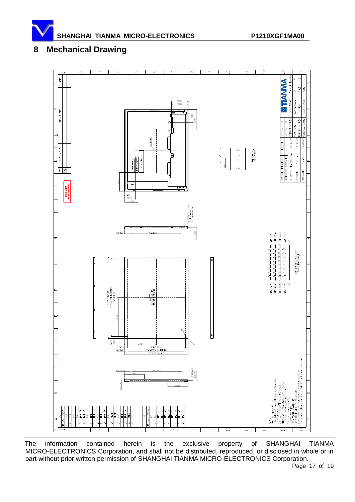

# <span id="page-16-0"></span>**8 Mechanical Drawing**



The information contained herein is the exclusive property of SHANGHAI TIANMA MICRO-ELECTRONICS Corporation, and shall not be distributed, reproduced, or disclosed in whole or in part without prior written permission of SHANGHAI TIANMA MICRO-ELECTRONICS Corporation.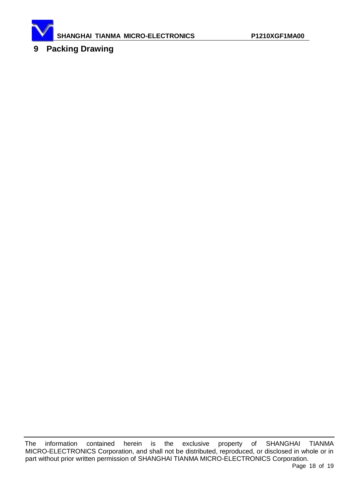

<span id="page-17-0"></span>**9 Packing Drawing**